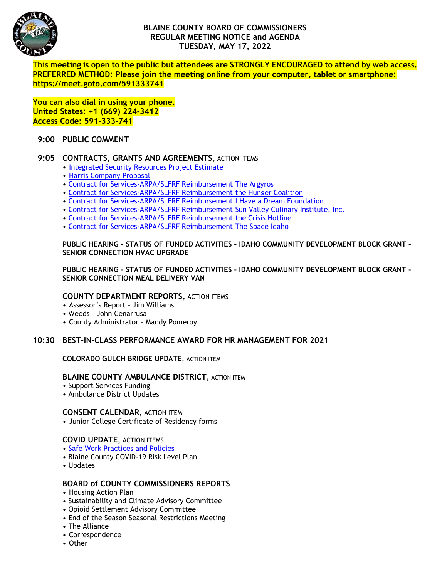

# **BLAINE COUNTY BOARD OF COMMISSIONERS REGULAR MEETING NOTICE and AGENDA TUESDAY, MAY 17, 2022**

**This meeting is open to the public but attendees are STRONGLY ENCOURAGED to attend by web access. PREFERRED METHOD: Please join the meeting online from your computer, tablet or smartphone: https://meet.goto.com/591333741**

**You can also dial in using your phone. United States: +1 (669) 224-3412 Access Code: 591-333-741**

# **9:00 PUBLIC COMMENT**

# **9:05 CONTRACTS, GRANTS AND AGREEMENTS**, ACTION ITEMS

- [Integrated Security Resources Project Estimate](https://www.co.blaine.id.us/DocumentCenter/View/18695/integrated-security-resources)
- [Harris Company Proposal](https://www.co.blaine.id.us/DocumentCenter/View/18694/harris-co)
- [Contract for Services-ARPA/SLFRF Reimbursement The Argyros](https://www.co.blaine.id.us/DocumentCenter/View/18693/Argyros-ARPA-Contract)
- [Contract for Services-ARPA/SLFRF Reimbursement the Hunger Coalition](https://www.co.blaine.id.us/DocumentCenter/View/18692/Hunger-Coalition-ARPA-Contract)
- [Contract for Services-ARPA/SLFRF Reimbursement I Have a Dream Foundation](https://www.co.blaine.id.us/DocumentCenter/View/18691/I-Have-a-Dream-ARPA-Contract)
- [Contract for Services-ARPA/SLFRF Reimbursement Sun Valley Culinary Institute, Inc.](https://www.co.blaine.id.us/DocumentCenter/View/18690/Sun-Valley-Culinary-Institute-ARPA-Contract)
- [Contract for Services-ARPA/SLFRF Reimbursement the Crisis Hotline](https://www.co.blaine.id.us/DocumentCenter/View/18689/The-Crisis-Hotline-ARPA-Contract)
- [Contract for Services-ARPA/SLFRF Reimbursement](https://www.co.blaine.id.us/DocumentCenter/View/18688/The-Space-Idaho) The Space Idaho

**PUBLIC HEARING – STATUS OF FUNDED ACTIVITIES – IDAHO COMMUNITY DEVELOPMENT BLOCK GRANT – SENIOR CONNECTION HVAC UPGRADE**

#### **PUBLIC HEARING – STATUS OF FUNDED ACTIVITIES – IDAHO COMMUNITY DEVELOPMENT BLOCK GRANT – SENIOR CONNECTION MEAL DELIVERY VAN**

# **COUNTY DEPARTMENT REPORTS**, ACTION ITEMS

- Assessor's Report Jim Williams
- Weeds John Cenarrusa
- County Administrator Mandy Pomeroy

# **10:30 BEST-IN-CLASS PERFORMANCE AWARD FOR HR MANAGEMENT FOR 2021**

#### **COLORADO GULCH BRIDGE UPDATE**, ACTION ITEM

# **BLAINE COUNTY AMBULANCE DISTRICT, ACTION ITEM**

- Support Services Funding
- Ambulance District Updates

#### **CONSENT CALENDAR**, ACTION ITEM

• Junior College Certificate of Residency forms

# **COVID UPDATE**, ACTION ITEMS

- [Safe Work Practices and Policies](https://www.co.blaine.id.us/DocumentCenter/View/18696/May-22-Draft-Revisions-Blaine-County-COVID-19-Safe-Work-Practices)
- Blaine County COVID-19 Risk Level Plan
- Updates

#### **BOARD of COUNTY COMMISSIONERS REPORTS**

- Housing Action Plan
- Sustainability and Climate Advisory Committee
- Opioid Settlement Advisory Committee
- End of the Season Seasonal Restrictions Meeting
- The Alliance
- Correspondence
- Other